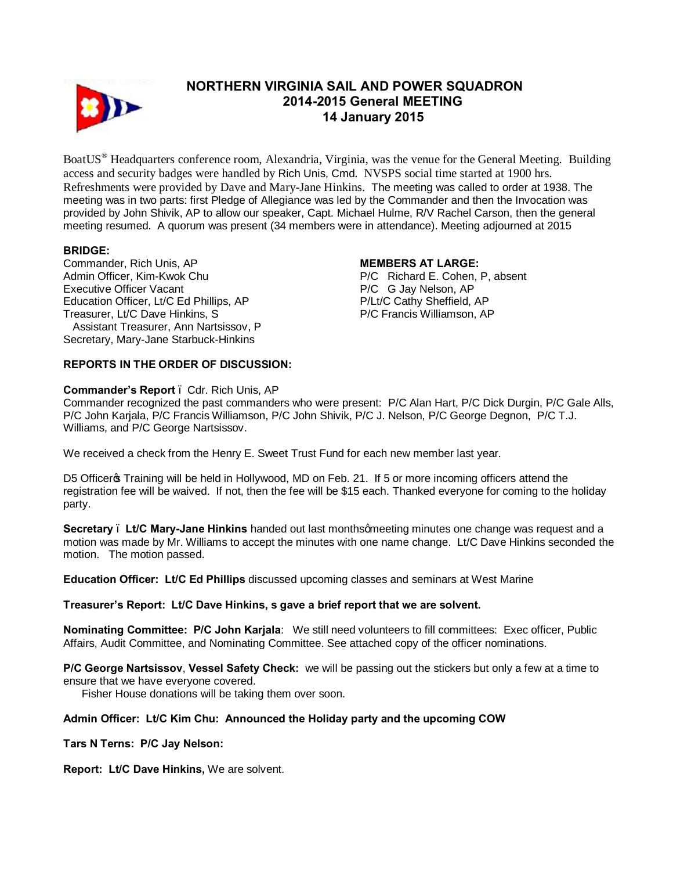

# **NORTHERN VIRGINIA SAIL AND POWER SQUADRON 2014-2015 General MEETING 14 January 2015**

BoatUS® Headquarters conference room, Alexandria, Virginia, was the venue for the General Meeting. Building access and security badges were handled by Rich Unis, Cmd. NVSPS social time started at 1900 hrs. Refreshments were provided by Dave and Mary-Jane Hinkins. The meeting was called to order at 1938. The meeting was in two parts: first Pledge of Allegiance was led by the Commander and then the Invocation was provided by John Shivik, AP to allow our speaker, Capt. Michael Hulme, R/V Rachel Carson, then the general meeting resumed. A quorum was present (34 members were in attendance). Meeting adjourned at 2015

## **BRIDGE:**

Commander, Rich Unis, AP Admin Officer, Kim-Kwok Chu Executive Officer Vacant Education Officer, Lt/C Ed Phillips, AP Treasurer, Lt/C Dave Hinkins, S Assistant Treasurer, Ann Nartsissov, P Secretary, Mary-Jane Starbuck-Hinkins

#### **MEMBERS AT LARGE:**

P/C Richard E. Cohen, P, absent P/C G Jay Nelson, AP P/Lt/C Cathy Sheffield, AP P/C Francis Williamson, AP

### **REPORTS IN THE ORDER OF DISCUSSION:**

#### **Commander's Report** – Cdr. Rich Unis, AP

Commander recognized the past commanders who were present: P/C Alan Hart, P/C Dick Durgin, P/C Gale Alls, P/C John Karjala, P/C Francis Williamson, P/C John Shivik, P/C J. Nelson, P/C George Degnon, P/C T.J. Williams, and P/C George Nartsissov.

We received a check from the Henry E. Sweet Trust Fund for each new member last year.

D5 Officer Training will be held in Hollywood, MD on Feb. 21. If 5 or more incoming officers attend the registration fee will be waived. If not, then the fee will be \$15 each. Thanked everyone for coming to the holiday party.

**Secretary . Lt/C Mary-Jane Hinkins** handed out last monthsqmeeting minutes one change was request and a motion was made by Mr. Williams to accept the minutes with one name change. Lt/C Dave Hinkins seconded the motion. The motion passed.

**Education Officer: Lt/C Ed Phillips** discussed upcoming classes and seminars at West Marine

#### **Treasurer's Report: Lt/C Dave Hinkins, s gave a brief report that we are solvent.**

**Nominating Committee: P/C John Karjala**: We still need volunteers to fill committees: Exec officer, Public Affairs, Audit Committee, and Nominating Committee. See attached copy of the officer nominations.

**P/C George Nartsissov**, **Vessel Safety Check:** we will be passing out the stickers but only a few at a time to ensure that we have everyone covered.

Fisher House donations will be taking them over soon.

# **Admin Officer: Lt/C Kim Chu: Announced the Holiday party and the upcoming COW**

**Tars N Terns: P/C Jay Nelson:**

**Report: Lt/C Dave Hinkins,** We are solvent.